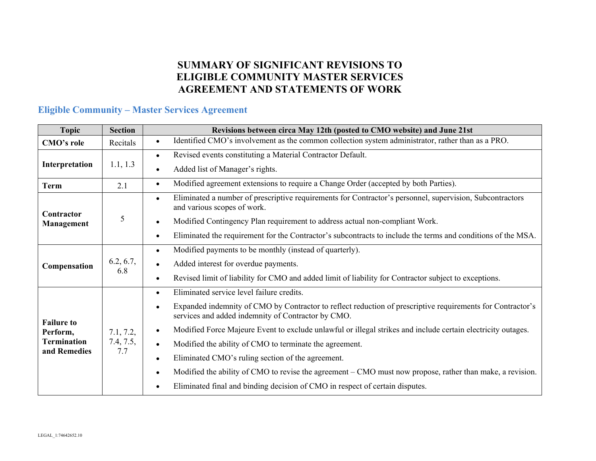#### **SUMMARY OF SIGNIFICANT REVISIONS TO ELIGIBLE COMMUNITY MASTER SERVICES AGREEMENT AND STATEMENTS OF WORK**

#### **Eligible Community – Master Services Agreement**

| <b>Topic</b>                                   | <b>Section</b>                | Revisions between circa May 12th (posted to CMO website) and June 21st                                                                                           |
|------------------------------------------------|-------------------------------|------------------------------------------------------------------------------------------------------------------------------------------------------------------|
| <b>CMO's role</b>                              | Recitals                      | Identified CMO's involvement as the common collection system administrator, rather than as a PRO.<br>$\bullet$                                                   |
| Interpretation                                 | 1.1, 1.3                      | Revised events constituting a Material Contractor Default.<br>$\bullet$                                                                                          |
|                                                |                               | Added list of Manager's rights.                                                                                                                                  |
| <b>Term</b>                                    | 2.1                           | Modified agreement extensions to require a Change Order (accepted by both Parties).<br>$\bullet$                                                                 |
| Contractor                                     |                               | Eliminated a number of prescriptive requirements for Contractor's personnel, supervision, Subcontractors<br>$\bullet$<br>and various scopes of work.             |
| <b>Management</b>                              | 5                             | Modified Contingency Plan requirement to address actual non-compliant Work.                                                                                      |
|                                                |                               | Eliminated the requirement for the Contractor's subcontracts to include the terms and conditions of the MSA.                                                     |
|                                                | 6.2, 6.7,<br>6.8              | Modified payments to be monthly (instead of quarterly).<br>$\bullet$                                                                                             |
| Compensation                                   |                               | Added interest for overdue payments.                                                                                                                             |
|                                                |                               | Revised limit of liability for CMO and added limit of liability for Contractor subject to exceptions.                                                            |
|                                                |                               | Eliminated service level failure credits.<br>$\bullet$                                                                                                           |
| <b>Failure to</b>                              |                               | Expanded indemnity of CMO by Contractor to reflect reduction of prescriptive requirements for Contractor's<br>services and added indemnity of Contractor by CMO. |
| Perform,<br><b>Termination</b><br>and Remedies | 7.1, 7.2,<br>7.4, 7.5,<br>7.7 | Modified Force Majeure Event to exclude unlawful or illegal strikes and include certain electricity outages.<br>$\bullet$                                        |
|                                                |                               | Modified the ability of CMO to terminate the agreement.<br>$\bullet$                                                                                             |
|                                                |                               | Eliminated CMO's ruling section of the agreement.                                                                                                                |
|                                                |                               | Modified the ability of CMO to revise the agreement – CMO must now propose, rather than make, a revision.                                                        |
|                                                |                               | Eliminated final and binding decision of CMO in respect of certain disputes.                                                                                     |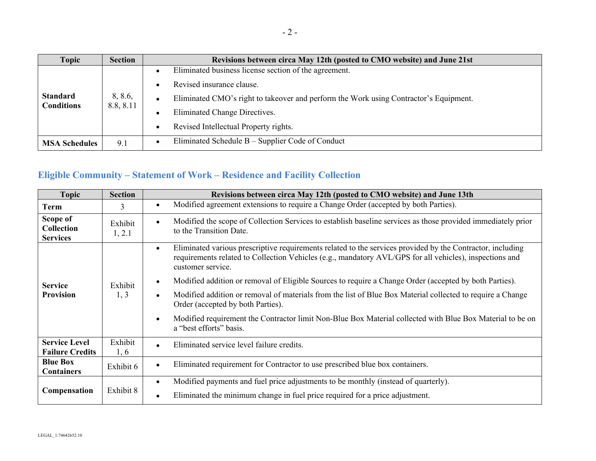| <b>Topic</b>                         | <b>Section</b>       | Revisions between circa May 12th (posted to CMO website) and June 21st                 |
|--------------------------------------|----------------------|----------------------------------------------------------------------------------------|
| <b>Standard</b><br><b>Conditions</b> | 8, 8.6,<br>8.8, 8.11 | Eliminated business license section of the agreement.                                  |
|                                      |                      | Revised insurance clause.                                                              |
|                                      |                      | Eliminated CMO's right to take over and perform the Work using Contractor's Equipment. |
|                                      |                      | Eliminated Change Directives.                                                          |
|                                      |                      | Revised Intellectual Property rights.                                                  |
| <b>MSA Schedules</b>                 | 9.1                  | Eliminated Schedule B – Supplier Code of Conduct                                       |

## **Eligible Community – Statement of Work – Residence and Facility Collection**

| <b>Topic</b>                                     | <b>Section</b>    | Revisions between circa May 12th (posted to CMO website) and June 13th                                                                                                                                                                                  |
|--------------------------------------------------|-------------------|---------------------------------------------------------------------------------------------------------------------------------------------------------------------------------------------------------------------------------------------------------|
| <b>Term</b>                                      | 3                 | Modified agreement extensions to require a Change Order (accepted by both Parties).                                                                                                                                                                     |
| Scope of<br><b>Collection</b><br><b>Services</b> | Exhibit<br>1, 2.1 | Modified the scope of Collection Services to establish baseline services as those provided immediately prior<br>to the Transition Date.                                                                                                                 |
| <b>Service</b><br><b>Provision</b>               | Exhibit<br>1, 3   | Eliminated various prescriptive requirements related to the services provided by the Contractor, including<br>$\bullet$<br>requirements related to Collection Vehicles (e.g., mandatory AVL/GPS for all vehicles), inspections and<br>customer service. |
|                                                  |                   | Modified addition or removal of Eligible Sources to require a Change Order (accepted by both Parties).                                                                                                                                                  |
|                                                  |                   | Modified addition or removal of materials from the list of Blue Box Material collected to require a Change<br>Order (accepted by both Parties).                                                                                                         |
|                                                  |                   | Modified requirement the Contractor limit Non-Blue Box Material collected with Blue Box Material to be on<br>a "best efforts" basis.                                                                                                                    |
| <b>Service Level</b><br><b>Failure Credits</b>   | Exhibit<br>1, 6   | Eliminated service level failure credits.<br>$\bullet$                                                                                                                                                                                                  |
| <b>Blue Box</b><br><b>Containers</b>             | Exhibit 6         | Eliminated requirement for Contractor to use prescribed blue box containers.                                                                                                                                                                            |
| Compensation                                     | Exhibit 8         | Modified payments and fuel price adjustments to be monthly (instead of quarterly).                                                                                                                                                                      |
|                                                  |                   | Eliminated the minimum change in fuel price required for a price adjustment.                                                                                                                                                                            |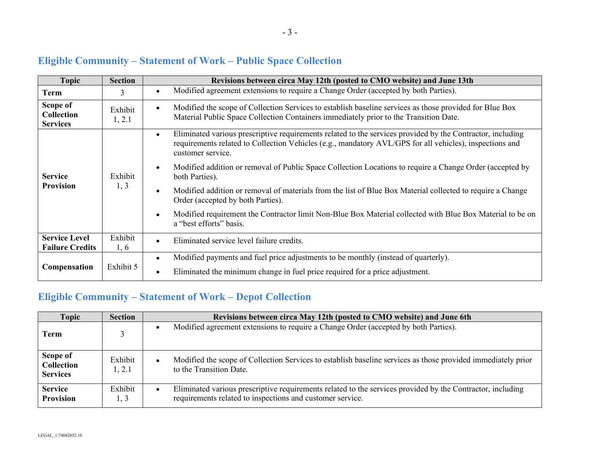| <b>Topic</b>                                     | <b>Section</b>    | Revisions between circa May 12th (posted to CMO website) and June 13th                                                                                                                                                                     |
|--------------------------------------------------|-------------------|--------------------------------------------------------------------------------------------------------------------------------------------------------------------------------------------------------------------------------------------|
| <b>Term</b>                                      | 3                 | Modified agreement extensions to require a Change Order (accepted by both Parties).                                                                                                                                                        |
| Scope of<br><b>Collection</b><br><b>Services</b> | Exhibit<br>1, 2.1 | Modified the scope of Collection Services to establish baseline services as those provided for Blue Box<br>Material Public Space Collection Containers immediately prior to the Transition Date.                                           |
| <b>Service</b><br><b>Provision</b>               | Exhibit<br>1, 3   | Eliminated various prescriptive requirements related to the services provided by the Contractor, including<br>requirements related to Collection Vehicles (e.g., mandatory AVL/GPS for all vehicles), inspections and<br>customer service. |
|                                                  |                   | Modified addition or removal of Public Space Collection Locations to require a Change Order (accepted by<br>both Parties).                                                                                                                 |
|                                                  |                   | Modified addition or removal of materials from the list of Blue Box Material collected to require a Change<br>Order (accepted by both Parties).                                                                                            |
|                                                  |                   | Modified requirement the Contractor limit Non-Blue Box Material collected with Blue Box Material to be on<br>a "best efforts" basis.                                                                                                       |
| <b>Service Level</b><br><b>Failure Credits</b>   | Exhibit<br>1, 6   | Eliminated service level failure credits.                                                                                                                                                                                                  |
| Compensation                                     | Exhibit 5         | Modified payments and fuel price adjustments to be monthly (instead of quarterly).<br>$\bullet$                                                                                                                                            |
|                                                  |                   | Eliminated the minimum change in fuel price required for a price adjustment.                                                                                                                                                               |

# **Eligible Community – Statement of Work – Public Space Collection**

## **Eligible Community – Statement of Work – Depot Collection**

| <b>Topic</b>                                     | <b>Section</b>    | Revisions between circa May 12th (posted to CMO website) and June 6th                                                                                                   |
|--------------------------------------------------|-------------------|-------------------------------------------------------------------------------------------------------------------------------------------------------------------------|
| Term                                             |                   | Modified agreement extensions to require a Change Order (accepted by both Parties).                                                                                     |
| Scope of<br><b>Collection</b><br><b>Services</b> | Exhibit<br>1, 2.1 | Modified the scope of Collection Services to establish baseline services as those provided immediately prior<br>to the Transition Date.                                 |
| <b>Service</b><br><b>Provision</b>               | Exhibit<br>1, 3   | Eliminated various prescriptive requirements related to the services provided by the Contractor, including<br>requirements related to inspections and customer service. |